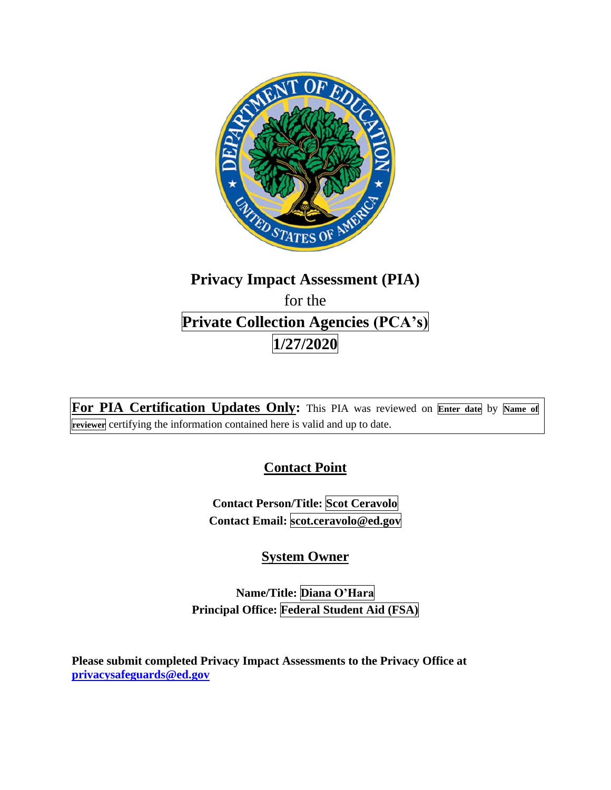

# **Privacy Impact Assessment (PIA)**  for the **Private Collection Agencies (PCA's) 1/27/2020**

**For PIA Certification Updates Only:** This PIA was reviewed on **Enter date** by **Name of reviewer** certifying the information contained here is valid and up to date.

# **Contact Point**

**Contact Person/Title: Scot Ceravolo Contact Email: [scot.ceravolo@ed.gov](mailto:scot.ceravolo@ed.gov)** 

# **System Owner**

**Name/Title: Diana O'Hara Principal Office: Federal Student Aid (FSA)** 

**Please submit completed Privacy Impact Assessments to the Privacy Office at [privacysafeguards@ed.gov](mailto:privacysafeguards@ed.gov)**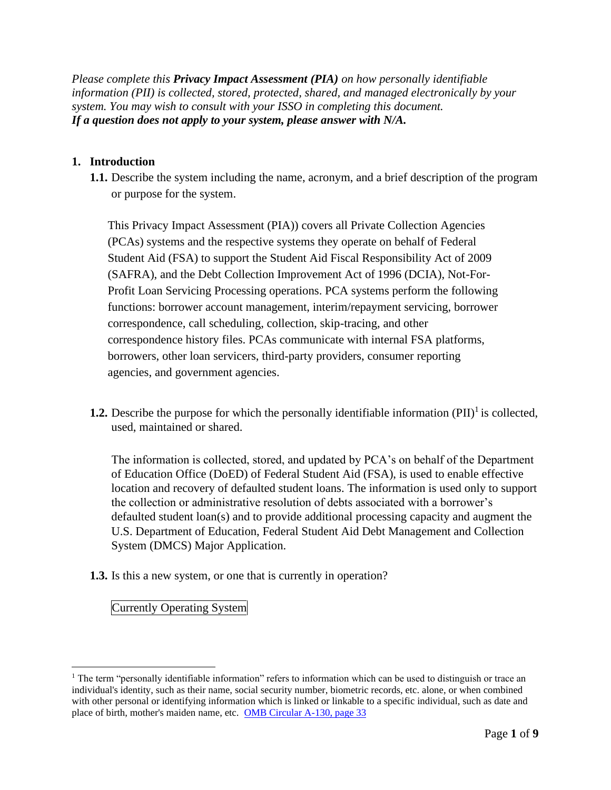*Please complete this Privacy Impact Assessment (PIA) on how personally identifiable information (PII) is collected, stored, protected, shared, and managed electronically by your system. You may wish to consult with your ISSO in completing this document. If a question does not apply to your system, please answer with N/A.* 

### **1. Introduction**

**1.1.** Describe the system including the name, acronym, and a brief description of the program or purpose for the system.

This Privacy Impact Assessment (PIA)) covers all Private Collection Agencies (PCAs) systems and the respective systems they operate on behalf of Federal Student Aid (FSA) to support the Student Aid Fiscal Responsibility Act of 2009 (SAFRA), and the Debt Collection Improvement Act of 1996 (DCIA), Not-For-Profit Loan Servicing Processing operations. PCA systems perform the following functions: borrower account management, interim/repayment servicing, borrower correspondence, call scheduling, collection, skip-tracing, and other correspondence history files. PCAs communicate with internal FSA platforms, borrowers, other loan servicers, third-party providers, consumer reporting agencies, and government agencies.

**1.2.** Describe the purpose for which the personally identifiable information  $(PII)^{1}$  is collected, used, maintained or shared.

The information is collected, stored, and updated by PCA's on behalf of the Department of Education Office (DoED) of Federal Student Aid (FSA), is used to enable effective location and recovery of defaulted student loans. The information is used only to support the collection or administrative resolution of debts associated with a borrower's defaulted student loan(s) and to provide additional processing capacity and augment the U.S. Department of Education, Federal Student Aid Debt Management and Collection System (DMCS) Major Application.

**1.3.** Is this a new system, or one that is currently in operation?

Currently Operating System

 $1$  The term "personally identifiable information" refers to information which can be used to distinguish or trace an individual's identity, such as their name, social security number, biometric records, etc. alone, or when combined with other personal or identifying information which is linked or linkable to a specific individual, such as date and place of birth, mother's maiden name, etc. OMB Circular A-130, page 33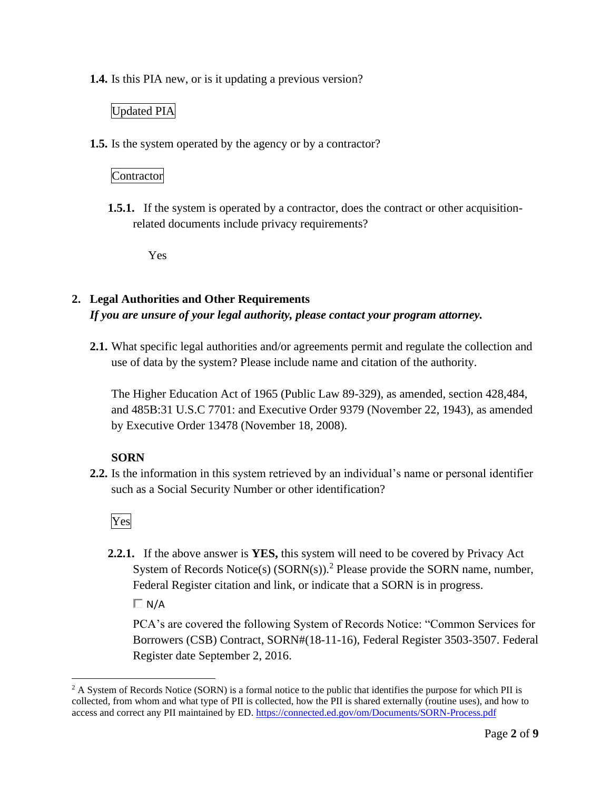**1.4.** Is this PIA new, or is it updating a previous version?

### Updated PIA

**1.5.** Is the system operated by the agency or by a contractor?

#### Contractor

**1.5.1.** If the system is operated by a contractor, does the contract or other acquisitionrelated documents include privacy requirements?

Yes

### **2. Legal Authorities and Other Requirements**  *If you are unsure of your legal authority, please contact your program attorney.*

**2.1.** What specific legal authorities and/or agreements permit and regulate the collection and use of data by the system? Please include name and citation of the authority.

The Higher Education Act of 1965 (Public Law 89-329), as amended, section 428,484, and 485B:31 U.S.C 7701: and Executive Order 9379 (November 22, 1943), as amended by Executive Order 13478 (November 18, 2008).

### **SORN**

**2.2.** Is the information in this system retrieved by an individual's name or personal identifier such as a Social Security Number or other identification?

Yes

**2.2.1.** If the above answer is **YES,** this system will need to be covered by Privacy Act System of Records Notice(s) (SORN(s)).<sup>2</sup> Please provide the SORN name, number, Federal Register citation and link, or indicate that a SORN is in progress.

 $\Box N/A$ 

PCA's are covered the following System of Records Notice: "Common Services for Borrowers (CSB) Contract, SORN#(18-11-16), Federal Register 3503-3507. Federal Register date September 2, 2016.

 $2 A$  System of Records Notice (SORN) is a formal notice to the public that identifies the purpose for which PII is collected, from whom and what type of PII is collected, how the PII is shared externally (routine uses), and how to access and correct any PII maintained by ED. https://connected.ed.gov/om/Documents/SORN-Process.pdf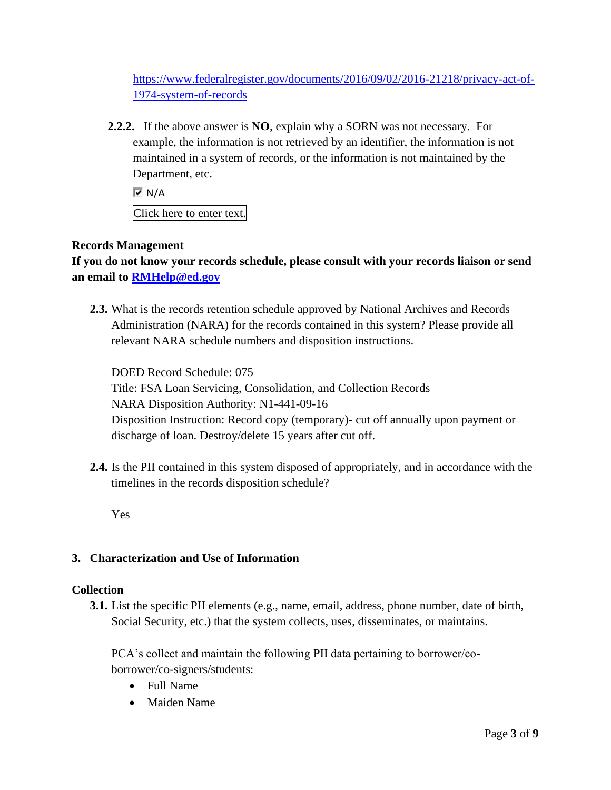[https://www.federalregister.gov/documents/2016/09/02/2016-21218/privacy-act-of-](https://www.federalregister.gov/documents/2016/09/02/2016-21218/privacy-act-of)1974-system-of-records

 Department, etc. **2.2.2.** If the above answer is **NO**, explain why a SORN was not necessary. For example, the information is not retrieved by an identifier, the information is not maintained in a system of records, or the information is not maintained by the

 $\overline{M}$  N/A

Click here to enter text.

### **Records Management**

**If you do not know your records schedule, please consult with your records liaison or send an email to [RMHelp@ed.gov](mailto:RMHelp@ed.gov)** 

**2.3.** What is the records retention schedule approved by National Archives and Records Administration (NARA) for the records contained in this system? Please provide all relevant NARA schedule numbers and disposition instructions.

DOED Record Schedule: 075 Title: FSA Loan Servicing, Consolidation, and Collection Records NARA Disposition Authority: N1-441-09-16 Disposition Instruction: Record copy (temporary)- cut off annually upon payment or discharge of loan. Destroy/delete 15 years after cut off.

**2.4.** Is the PII contained in this system disposed of appropriately, and in accordance with the timelines in the records disposition schedule?

Yes

### **3. Characterization and Use of Information**

### **Collection**

**3.1.** List the specific PII elements (e.g., name, email, address, phone number, date of birth, Social Security, etc.) that the system collects, uses, disseminates, or maintains.

PCA's collect and maintain the following PII data pertaining to borrower/coborrower/co-signers/students:

- Full Name
- Maiden Name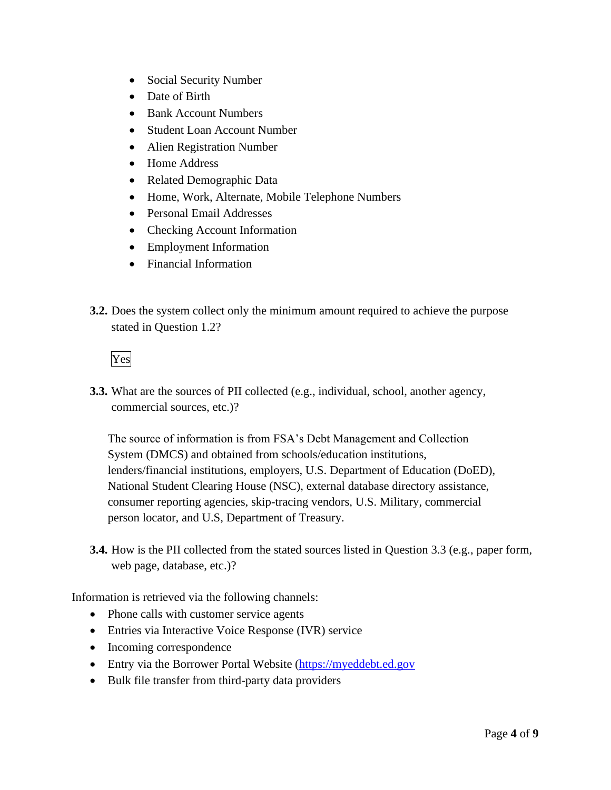- Social Security Number
- Date of Birth
- Bank Account Numbers
- Student Loan Account Number
- Alien Registration Number
- Home Address
- Related Demographic Data
- Home, Work, Alternate, Mobile Telephone Numbers
- Personal Email Addresses
- Checking Account Information
- Employment Information
- Financial Information
- **3.2.** Does the system collect only the minimum amount required to achieve the purpose stated in Question 1.2?

Yes

**3.3.** What are the sources of PII collected (e.g., individual, school, another agency, commercial sources, etc.)?

The source of information is from FSA's Debt Management and Collection System (DMCS) and obtained from schools/education institutions, lenders/financial institutions, employers, U.S. Department of Education (DoED), National Student Clearing House (NSC), external database directory assistance, consumer reporting agencies, skip-tracing vendors, U.S. Military, commercial person locator, and U.S, Department of Treasury.

**3.4.** How is the PII collected from the stated sources listed in Question 3.3 (e.g., paper form, web page, database, etc.)?

Information is retrieved via the following channels:

- Phone calls with customer service agents
- Entries via Interactive Voice Response (IVR) service
- Incoming correspondence
- Entry via the Borrower Portal Website (https://myeddebt.ed.gov
- Bulk file transfer from third-party data providers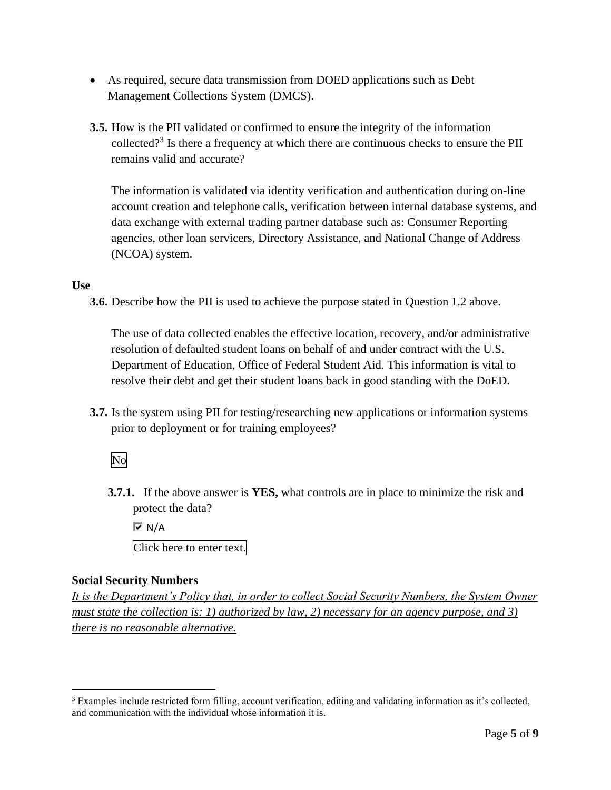- As required, secure data transmission from DOED applications such as Debt Management Collections System (DMCS).
- collected?<sup>3</sup> Is there a frequency at which there are continuous checks to ensure the PII **3.5.** How is the PII validated or confirmed to ensure the integrity of the information remains valid and accurate?

The information is validated via identity verification and authentication during on-line account creation and telephone calls, verification between internal database systems, and data exchange with external trading partner database such as: Consumer Reporting agencies, other loan servicers, Directory Assistance, and National Change of Address (NCOA) system.

### **Use**

**3.6.** Describe how the PII is used to achieve the purpose stated in Question 1.2 above.

The use of data collected enables the effective location, recovery, and/or administrative resolution of defaulted student loans on behalf of and under contract with the U.S. Department of Education, Office of Federal Student Aid. This information is vital to resolve their debt and get their student loans back in good standing with the DoED.

**3.7.** Is the system using PII for testing/researching new applications or information systems prior to deployment or for training employees?

### No

**3.7.1.** If the above answer is **YES,** what controls are in place to minimize the risk and protect the data?

 $\overline{M}$  N/A Click here to enter text.

### **Social Security Numbers**

*It is the Department's Policy that, in order to collect Social Security Numbers, the System Owner must state the collection is: 1) authorized by law, 2) necessary for an agency purpose, and 3) there is no reasonable alternative.* 

 $3$  Examples include restricted form filling, account verification, editing and validating information as it's collected, and communication with the individual whose information it is.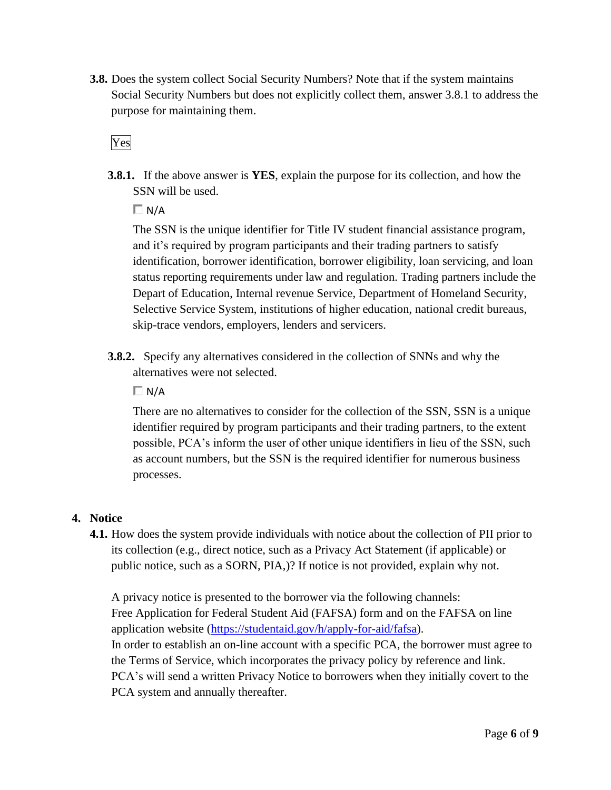**3.8.** Does the system collect Social Security Numbers? Note that if the system maintains Social Security Numbers but does not explicitly collect them, answer 3.8.1 to address the purpose for maintaining them.

Yes

**3.8.1.** If the above answer is **YES**, explain the purpose for its collection, and how the SSN will be used.

 $\Box$  N/A

The SSN is the unique identifier for Title IV student financial assistance program, and it's required by program participants and their trading partners to satisfy identification, borrower identification, borrower eligibility, loan servicing, and loan status reporting requirements under law and regulation. Trading partners include the Depart of Education, Internal revenue Service, Department of Homeland Security, Selective Service System, institutions of higher education, national credit bureaus, skip-trace vendors, employers, lenders and servicers.

**3.8.2.** Specify any alternatives considered in the collection of SNNs and why the alternatives were not selected.

 $\Box N/A$ 

There are no alternatives to consider for the collection of the SSN, SSN is a unique identifier required by program participants and their trading partners, to the extent possible, PCA's inform the user of other unique identifiers in lieu of the SSN, such as account numbers, but the SSN is the required identifier for numerous business processes.

### **4. Notice**

**4.1.** How does the system provide individuals with notice about the collection of PII prior to its collection (e.g., direct notice, such as a Privacy Act Statement (if applicable) or public notice, such as a SORN, PIA,)? If notice is not provided, explain why not.

A privacy notice is presented to the borrower via the following channels: Free Application for Federal Student Aid (FAFSA) form and on the FAFSA on line application website [\(https://studentaid.gov/h/apply-for-aid/fafsa\)](https://studentaid.gov/h/apply-for-aid/fafsa). In order to establish an on-line account with a specific PCA, the borrower must agree to the Terms of Service, which incorporates the privacy policy by reference and link. PCA's will send a written Privacy Notice to borrowers when they initially covert to the PCA system and annually thereafter.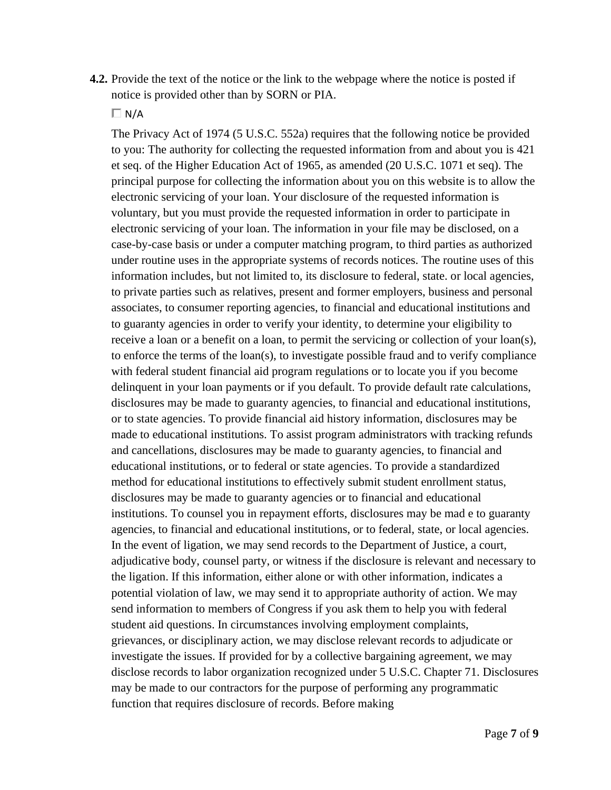**4.2.** Provide the text of the notice or the link to the webpage where the notice is posted if notice is provided other than by SORN or PIA.

 $\Box$  N/A

The Privacy Act of 1974 (5 U.S.C. 552a) requires that the following notice be provided to you: The authority for collecting the requested information from and about you is 421 et seq. of the Higher Education Act of 1965, as amended (20 U.S.C. 1071 et seq). The principal purpose for collecting the information about you on this website is to allow the electronic servicing of your loan. Your disclosure of the requested information is voluntary, but you must provide the requested information in order to participate in electronic servicing of your loan. The information in your file may be disclosed, on a case-by-case basis or under a computer matching program, to third parties as authorized under routine uses in the appropriate systems of records notices. The routine uses of this information includes, but not limited to, its disclosure to federal, state. or local agencies, to private parties such as relatives, present and former employers, business and personal associates, to consumer reporting agencies, to financial and educational institutions and to guaranty agencies in order to verify your identity, to determine your eligibility to receive a loan or a benefit on a loan, to permit the servicing or collection of your loan(s), to enforce the terms of the loan(s), to investigate possible fraud and to verify compliance with federal student financial aid program regulations or to locate you if you become delinquent in your loan payments or if you default. To provide default rate calculations, disclosures may be made to guaranty agencies, to financial and educational institutions, or to state agencies. To provide financial aid history information, disclosures may be made to educational institutions. To assist program administrators with tracking refunds and cancellations, disclosures may be made to guaranty agencies, to financial and educational institutions, or to federal or state agencies. To provide a standardized method for educational institutions to effectively submit student enrollment status, disclosures may be made to guaranty agencies or to financial and educational institutions. To counsel you in repayment efforts, disclosures may be mad e to guaranty agencies, to financial and educational institutions, or to federal, state, or local agencies. In the event of ligation, we may send records to the Department of Justice, a court, adjudicative body, counsel party, or witness if the disclosure is relevant and necessary to the ligation. If this information, either alone or with other information, indicates a potential violation of law, we may send it to appropriate authority of action. We may send information to members of Congress if you ask them to help you with federal student aid questions. In circumstances involving employment complaints, grievances, or disciplinary action, we may disclose relevant records to adjudicate or investigate the issues. If provided for by a collective bargaining agreement, we may disclose records to labor organization recognized under 5 U.S.C. Chapter 71. Disclosures may be made to our contractors for the purpose of performing any programmatic function that requires disclosure of records. Before making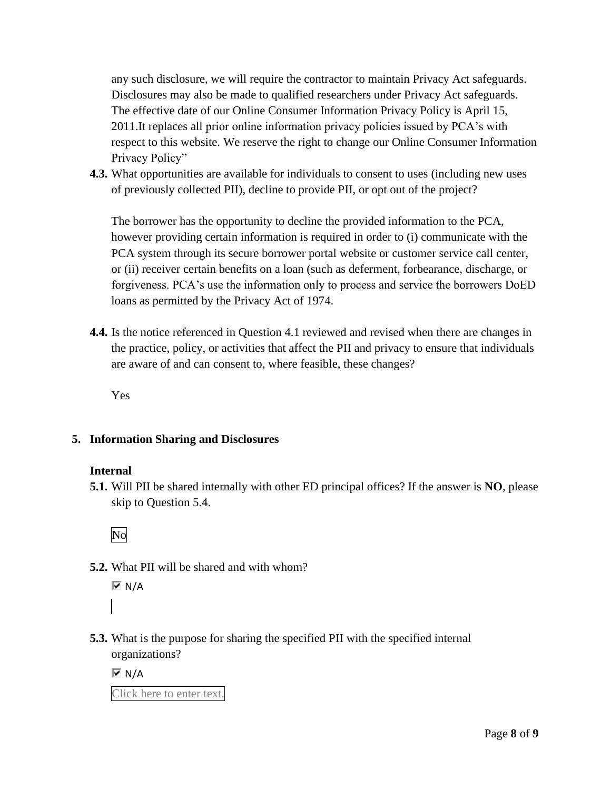any such disclosure, we will require the contractor to maintain Privacy Act safeguards. Disclosures may also be made to qualified researchers under Privacy Act safeguards. The effective date of our Online Consumer Information Privacy Policy is April 15, 2011.It replaces all prior online information privacy policies issued by PCA's with respect to this website. We reserve the right to change our Online Consumer Information Privacy Policy"

**4.3.** What opportunities are available for individuals to consent to uses (including new uses of previously collected PII), decline to provide PII, or opt out of the project?

The borrower has the opportunity to decline the provided information to the PCA, however providing certain information is required in order to (i) communicate with the PCA system through its secure borrower portal website or customer service call center, or (ii) receiver certain benefits on a loan (such as deferment, forbearance, discharge, or forgiveness. PCA's use the information only to process and service the borrowers DoED loans as permitted by the Privacy Act of 1974.

**4.4.** Is the notice referenced in Question 4.1 reviewed and revised when there are changes in the practice, policy, or activities that affect the PII and privacy to ensure that individuals are aware of and can consent to, where feasible, these changes?

Yes

### **5. Information Sharing and Disclosures**

### **Internal**

**5.1.** Will PII be shared internally with other ED principal offices? If the answer is **NO**, please skip to Question 5.4.

No

**5.2.** What PII will be shared and with whom?

 $\overline{M}$  N/A

**5.3.** What is the purpose for sharing the specified PII with the specified internal organizations?

 $\overline{M}$  N/A

Click here to enter text.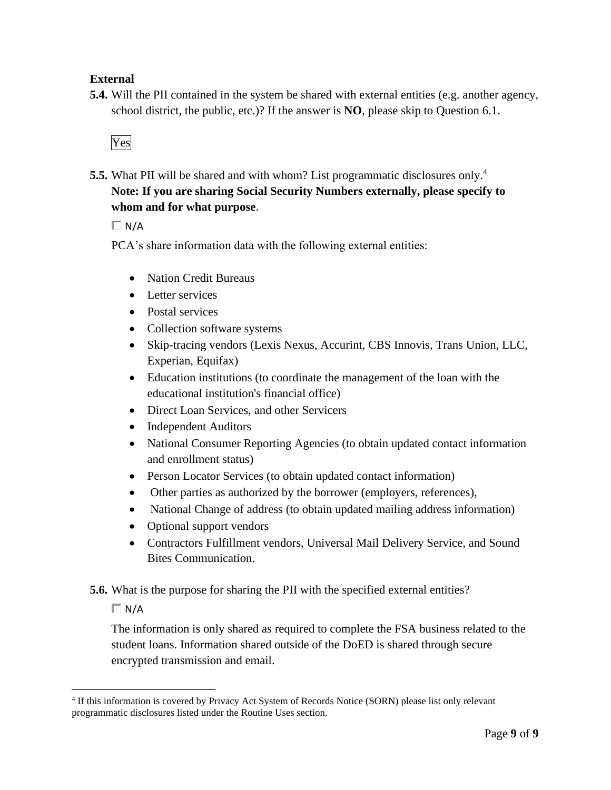### **External**

**5.4.** Will the PII contained in the system be shared with external entities (e.g. another agency, school district, the public, etc.)? If the answer is **NO**, please skip to Question 6.1.



**5.5.** What PII will be shared and with whom? List programmatic disclosures only.<sup>4</sup> **Note: If you are sharing Social Security Numbers externally, please specify to whom and for what purpose**.

 $\Box N/A$ 

PCA's share information data with the following external entities:

- Nation Credit Bureaus
- Letter services
- Postal services
- Collection software systems
- Skip-tracing vendors (Lexis Nexus, Accurint, CBS Innovis, Trans Union, LLC, Experian, Equifax)
- Education institutions (to coordinate the management of the loan with the educational institution's financial office)
- Direct Loan Services, and other Servicers
- Independent Auditors
- National Consumer Reporting Agencies (to obtain updated contact information and enrollment status)
- Person Locator Services (to obtain updated contact information)
- Other parties as authorized by the borrower (employers, references),
- National Change of address (to obtain updated mailing address information)
- Optional support vendors
- Contractors Fulfillment vendors, Universal Mail Delivery Service, and Sound Bites Communication.

**5.6.** What is the purpose for sharing the PII with the specified external entities?

 $\Box$  N/A

The information is only shared as required to complete the FSA business related to the student loans. Information shared outside of the DoED is shared through secure encrypted transmission and email.

 4 If this information is covered by Privacy Act System of Records Notice (SORN) please list only relevant programmatic disclosures listed under the Routine Uses section.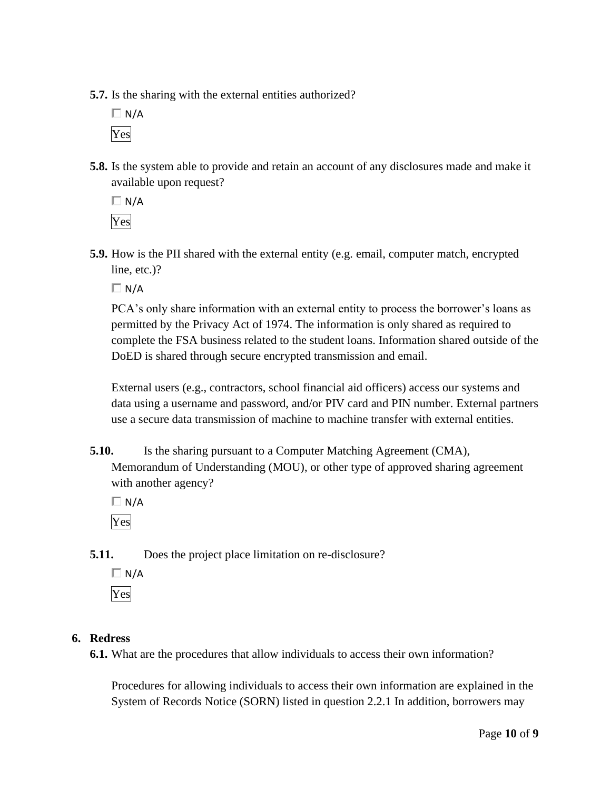**5.7.** Is the sharing with the external entities authorized?

 $\Box$  N/A Yes

**5.8.** Is the system able to provide and retain an account of any disclosures made and make it available upon request?

 $\Box$  N/A Yes

**5.9.** How is the PII shared with the external entity (e.g. email, computer match, encrypted line, etc.)?

 $\Box$  N/A

PCA's only share information with an external entity to process the borrower's loans as permitted by the Privacy Act of 1974. The information is only shared as required to complete the FSA business related to the student loans. Information shared outside of the DoED is shared through secure encrypted transmission and email.

External users (e.g., contractors, school financial aid officers) access our systems and data using a username and password, and/or PIV card and PIN number. External partners use a secure data transmission of machine to machine transfer with external entities.

**5.10.** Is the sharing pursuant to a Computer Matching Agreement (CMA), Memorandum of Understanding (MOU), or other type of approved sharing agreement with another agency?

 $\Box$  N/A Yes

**5.11.** Does the project place limitation on re-disclosure?

 $\Box$  N/A Yes

### **6. Redress**

**6.1.** What are the procedures that allow individuals to access their own information?

Procedures for allowing individuals to access their own information are explained in the System of Records Notice (SORN) listed in question 2.2.1 In addition, borrowers may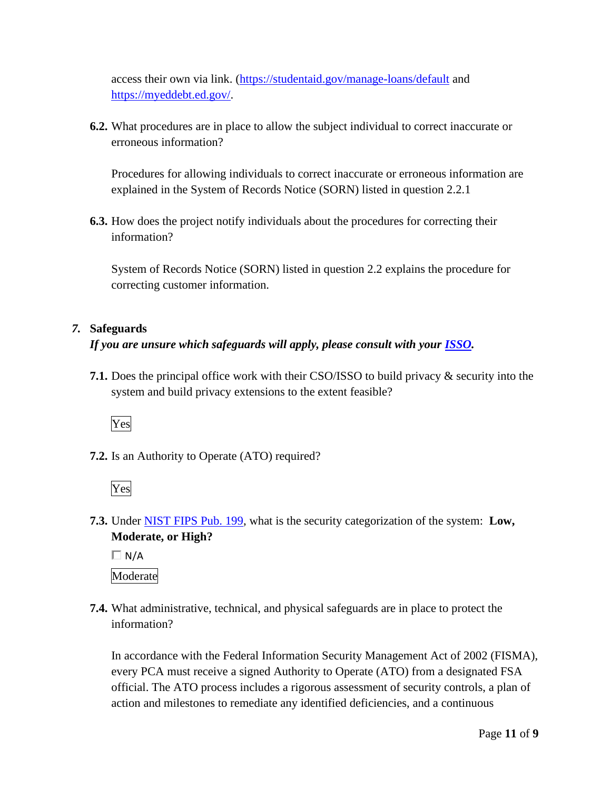access their own via link. [\(https://studentaid.gov/manage-loans/default](https://studentaid.gov/manage-loans/default) and [https://myeddebt.ed.gov/](https://myeddebt.ed.gov).

**6.2.** What procedures are in place to allow the subject individual to correct inaccurate or erroneous information?

Procedures for allowing individuals to correct inaccurate or erroneous information are explained in the System of Records Notice (SORN) listed in question 2.2.1

**6.3.** How does the project notify individuals about the procedures for correcting their information?

System of Records Notice (SORN) listed in question 2.2 explains the procedure for correcting customer information.

### *7.* **Safeguards**

### *If you are unsure which safeguards will apply, please consult with your ISSO.*

**7.1.** Does the principal office work with their CSO/ISSO to build privacy & security into the system and build privacy extensions to the extent feasible?



**7.2.** Is an Authority to Operate (ATO) required?



 **7.3.** Under NIST FIPS Pub. 199, what is the security categorization of the system: **Low, Moderate, or High?** 

 $\Box$  N/A Moderate

**7.4.** What administrative, technical, and physical safeguards are in place to protect the information?

In accordance with the Federal Information Security Management Act of 2002 (FISMA), every PCA must receive a signed Authority to Operate (ATO) from a designated FSA official. The ATO process includes a rigorous assessment of security controls, a plan of action and milestones to remediate any identified deficiencies, and a continuous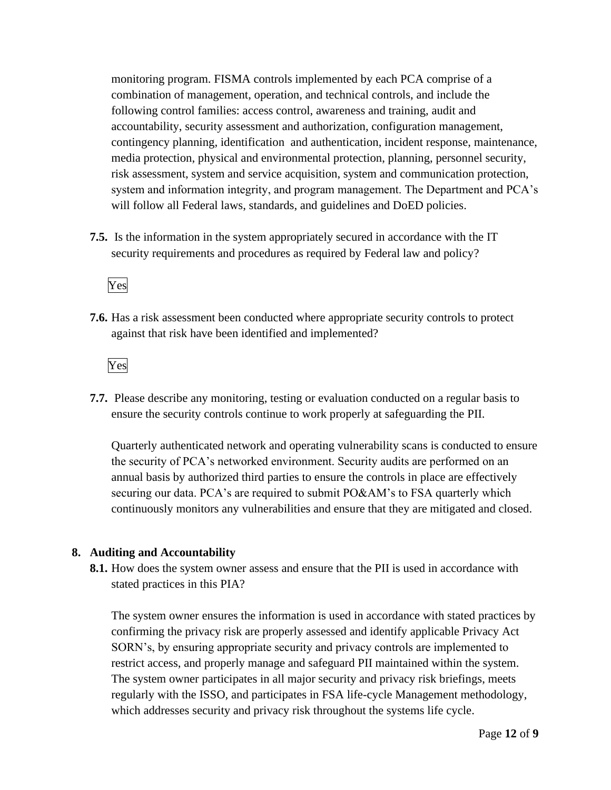monitoring program. FISMA controls implemented by each PCA comprise of a combination of management, operation, and technical controls, and include the following control families: access control, awareness and training, audit and accountability, security assessment and authorization, configuration management, contingency planning, identification and authentication, incident response, maintenance, media protection, physical and environmental protection, planning, personnel security, risk assessment, system and service acquisition, system and communication protection, system and information integrity, and program management. The Department and PCA's will follow all Federal laws, standards, and guidelines and DoED policies.

**7.5.** Is the information in the system appropriately secured in accordance with the IT security requirements and procedures as required by Federal law and policy?

Yes

**7.6.** Has a risk assessment been conducted where appropriate security controls to protect against that risk have been identified and implemented?

Yes

**7.7.** Please describe any monitoring, testing or evaluation conducted on a regular basis to ensure the security controls continue to work properly at safeguarding the PII.

 annual basis by authorized third parties to ensure the controls in place are effectively Quarterly authenticated network and operating vulnerability scans is conducted to ensure the security of PCA's networked environment. Security audits are performed on an securing our data. PCA's are required to submit PO&AM's to FSA quarterly which continuously monitors any vulnerabilities and ensure that they are mitigated and closed.

#### **8. Auditing and Accountability**

**8.1.** How does the system owner assess and ensure that the PII is used in accordance with stated practices in this PIA?

The system owner ensures the information is used in accordance with stated practices by confirming the privacy risk are properly assessed and identify applicable Privacy Act SORN's, by ensuring appropriate security and privacy controls are implemented to restrict access, and properly manage and safeguard PII maintained within the system. The system owner participates in all major security and privacy risk briefings, meets regularly with the ISSO, and participates in FSA life-cycle Management methodology, which addresses security and privacy risk throughout the systems life cycle.